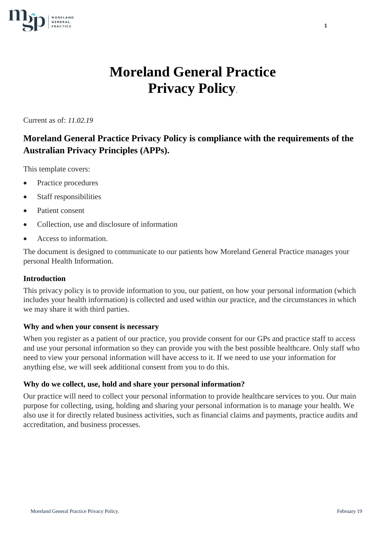

# **Moreland General Practice Privacy Policy**.

Current as of: *11.02.19*

# **Moreland General Practice Privacy Policy is compliance with the requirements of the Australian Privacy Principles (APPs).**

This template covers:

- Practice procedures
- Staff responsibilities
- Patient consent
- Collection, use and disclosure of information
- Access to information.

The document is designed to communicate to our patients how Moreland General Practice manages your personal Health Information.

# **Introduction**

This privacy policy is to provide information to you, our patient, on how your personal information (which includes your health information) is collected and used within our practice, and the circumstances in which we may share it with third parties.

# **Why and when your consent is necessary**

When you register as a patient of our practice, you provide consent for our GPs and practice staff to access and use your personal information so they can provide you with the best possible healthcare. Only staff who need to view your personal information will have access to it. If we need to use your information for anything else, we will seek additional consent from you to do this.

# **Why do we collect, use, hold and share your personal information?**

Our practice will need to collect your personal information to provide healthcare services to you. Our main purpose for collecting, using, holding and sharing your personal information is to manage your health. We also use it for directly related business activities, such as financial claims and payments, practice audits and accreditation, and business processes.

**1**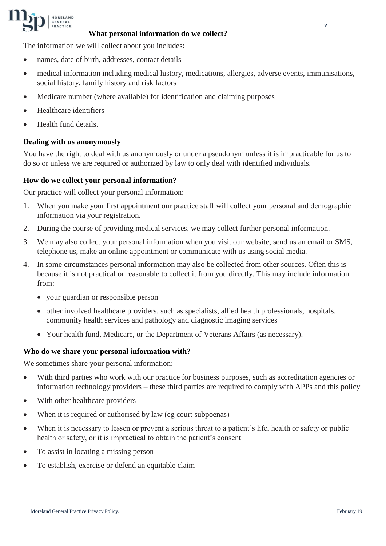

### **What personal information do we collect?**

The information we will collect about you includes:

- names, date of birth, addresses, contact details
- medical information including medical history, medications, allergies, adverse events, immunisations, social history, family history and risk factors
- Medicare number (where available) for identification and claiming purposes
- Healthcare identifiers
- Health fund details.

# **Dealing with us anonymously**

You have the right to deal with us anonymously or under a pseudonym unless it is impracticable for us to do so or unless we are required or authorized by law to only deal with identified individuals.

#### **How do we collect your personal information?**

Our practice will collect your personal information:

- 1. When you make your first appointment our practice staff will collect your personal and demographic information via your registration.
- 2. During the course of providing medical services, we may collect further personal information.
- 3. We may also collect your personal information when you visit our website, send us an email or SMS, telephone us, make an online appointment or communicate with us using social media.
- 4. In some circumstances personal information may also be collected from other sources. Often this is because it is not practical or reasonable to collect it from you directly. This may include information from:
	- your guardian or responsible person
	- other involved healthcare providers, such as specialists, allied health professionals, hospitals, community health services and pathology and diagnostic imaging services
	- Your health fund, Medicare, or the Department of Veterans Affairs (as necessary).

#### **Who do we share your personal information with?**

We sometimes share your personal information:

- With third parties who work with our practice for business purposes, such as accreditation agencies or information technology providers – these third parties are required to comply with APPs and this policy
- With other healthcare providers
- When it is required or authorised by law (eg court subpoenas)
- When it is necessary to lessen or prevent a serious threat to a patient's life, health or safety or public health or safety, or it is impractical to obtain the patient's consent
- To assist in locating a missing person
- To establish, exercise or defend an equitable claim